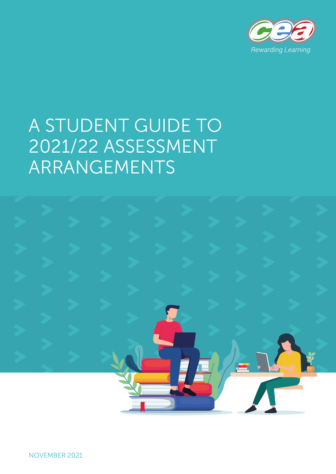

# A STUDENT GUIDE TO 2021/22 ASSESSMENT ARRANGEMENTS

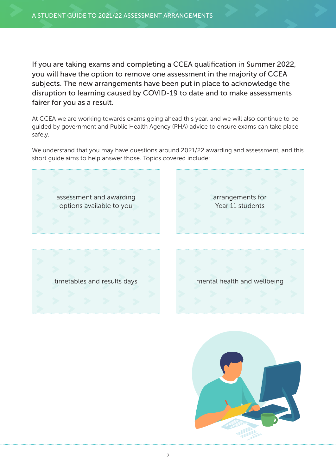If you are taking exams and completing a CCEA qualification in Summer 2022, you will have the option to remove one assessment in the majority of CCEA subjects. The new arrangements have been put in place to acknowledge the disruption to learning caused by COVID-19 to date and to make assessments fairer for you as a result.

At CCEA we are working towards exams going ahead this year, and we will also continue to be guided by government and Public Health Agency (PHA) advice to ensure exams can take place safely.

We understand that you may have questions around 2021/22 awarding and assessment, and this short guide aims to help answer those. Topics covered include:



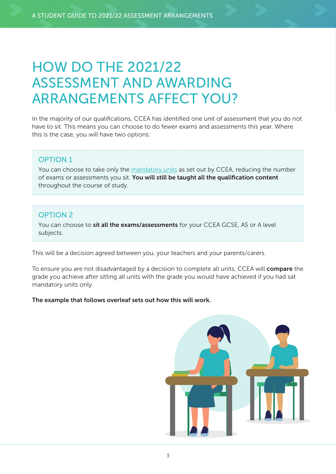## HOW DO THE 2021/22 ASSESSMENT AND AWARDING ARRANGEMENTS AFFECT YOU?

In the majority of our qualifications, CCEA has identified one unit of assessment that you do not have to sit. This means you can choose to do fewer exams and assessments this year. Where this is the case, you will have two options:

#### OPTION 1

You can choose to take only the [mandatory units](https://ccea.org.uk/summer-2022/specification-addenda) as set out by CCEA, reducing the number of exams or assessments you sit. You will still be taught all the qualification content throughout the course of study.

#### OPTION 2

You can choose to sit all the exams/assessments for your CCEA GCSE, AS or A level subjects.

This will be a decision agreed between you, your teachers and your parents/carers.

To ensure you are not disadvantaged by a decision to complete all units, CCEA will **compare** the grade you achieve after sitting all units with the grade you would have achieved if you had sat mandatory units only.

#### The example that follows overleaf sets out how this will work.

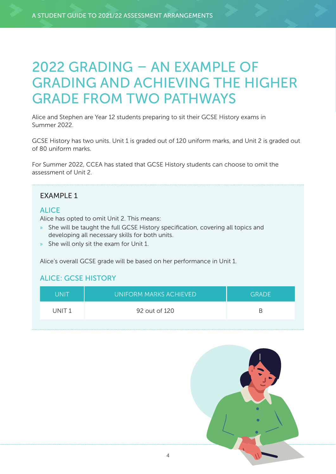## 2022 GRADING – AN EXAMPLE OF GRADING AND ACHIEVING THE HIGHER GRADE FROM TWO PATHWAYS

Alice and Stephen are Year 12 students preparing to sit their GCSE History exams in Summer 2022.

GCSE History has two units. Unit 1 is graded out of 120 uniform marks, and Unit 2 is graded out of 80 uniform marks.

For Summer 2022, CCEA has stated that GCSE History students can choose to omit the assessment of Unit 2.

#### EXAMPLE 1

#### **ALICE**

Alice has opted to omit Unit 2. This means:

- » She will be taught the full GCSE History specification, covering all topics and developing all necessary skills for both units.
- » She will only sit the exam for Unit 1.

Alice's overall GCSE grade will be based on her performance in Unit 1.

#### ALICE: GCSE HISTORY

| <b>UNIT</b>       | UNIFORM MARKS ACHIEVED | <b>GRADE</b> |
|-------------------|------------------------|--------------|
| UNIT <sub>1</sub> | 92 out of 120          | R            |

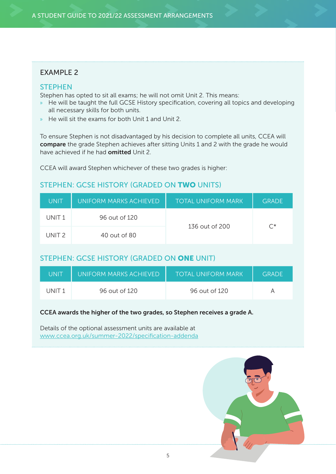#### **FXAMPLE 2**

#### **STEPHEN**

Stephen has opted to sit all exams; he will not omit Unit 2. This means:

- » He will be taught the full GCSE History specification, covering all topics and developing all necessary skills for both units.
- » He will sit the exams for both Unit 1 and Unit 2.

To ensure Stephen is not disadvantaged by his decision to complete all units, CCEA will compare the grade Stephen achieves after sitting Units 1 and 2 with the grade he would have achieved if he had **omitted** Unit 2.

CCEA will award Stephen whichever of these two grades is higher:

#### STEPHEN: GCSE HISTORY (GRADED ON TWO UNITS)

| UNIT   | UNIFORM MARKS ACHIEVED | <b>TOTAL UNIFORM MARK</b> | <b>GRADE</b>       |
|--------|------------------------|---------------------------|--------------------|
| UNIT 1 | 96 out of 120          | 136 out of 200            | $\curvearrowright$ |
| UNIT 2 | 40 out of 80           |                           |                    |

#### STEPHEN: GCSE HISTORY (GRADED ON ONE UNIT)

| UNIT   | UNIFORM MARKS ACHIEVED | <b>TOTAL UNIFORM MARK</b> | <b>GRADE</b> |
|--------|------------------------|---------------------------|--------------|
| UNIT 1 | 96 out of 120          | 96 out of 120             |              |

#### CCEA awards the higher of the two grades, so Stephen receives a grade A.

Details of the optional assessment units are available at [www.ccea.org.uk/summer-2022/specification-addenda](https://ccea.org.uk/summer-2022/specification-addenda)

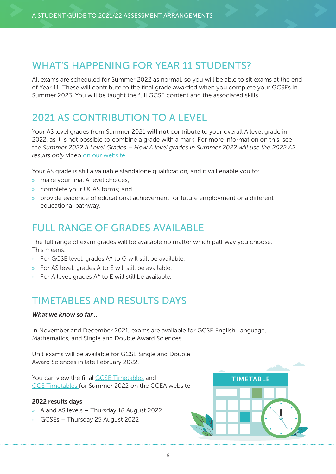## WHAT'S HAPPENING FOR YEAR 11 STUDENTS?

All exams are scheduled for Summer 2022 as normal, so you will be able to sit exams at the end of Year 11. These will contribute to the final grade awarded when you complete your GCSEs in Summer 2023. You will be taught the full GCSE content and the associated skills.

## 2021 AS CONTRIBUTION TO A LEVEL

Your AS level grades from Summer 2021 will not contribute to your overall A level grade in 2022, as it is not possible to combine a grade with a mark. For more information on this, see the *Summer 2022 A Level Grades – How A level grades in Summer 2022 will use the 2022 A2 results only* video [on our website](https://ccea.org.uk/summer-2022/student-area#section-18670).

Your AS grade is still a valuable standalone qualification, and it will enable you to:

- » make your final A level choices;
- » complete your UCAS forms; and
- » provide evidence of educational achievement for future employment or a different educational pathway.

### FULL RANGE OF GRADES AVAILABLE

The full range of exam grades will be available no matter which pathway you choose. This means:

- » For GCSE level, grades A\* to G will still be available.
- » For AS level, grades A to E will still be available.
- » For A level, grades A\* to E will still be available.

## TIMETABLES AND RESULTS DAYS

#### *What we know so far ...*

In November and December 2021, exams are available for GCSE English Language, Mathematics, and Single and Double Award Sciences.

Unit exams will be available for GCSE Single and Double Award Sciences in late February 2022.

You can view the final [GCSE Timetables](https://ccea.org.uk/key-stage-4/gcse/timetables) and [GCE Timetables](https://ccea.org.uk/post-16/gce/timetables) for Summer 2022 on the CCEA website.

#### 2022 results days

- » A and AS levels Thursday 18 August 2022
- » GCSEs Thursday 25 August 2022